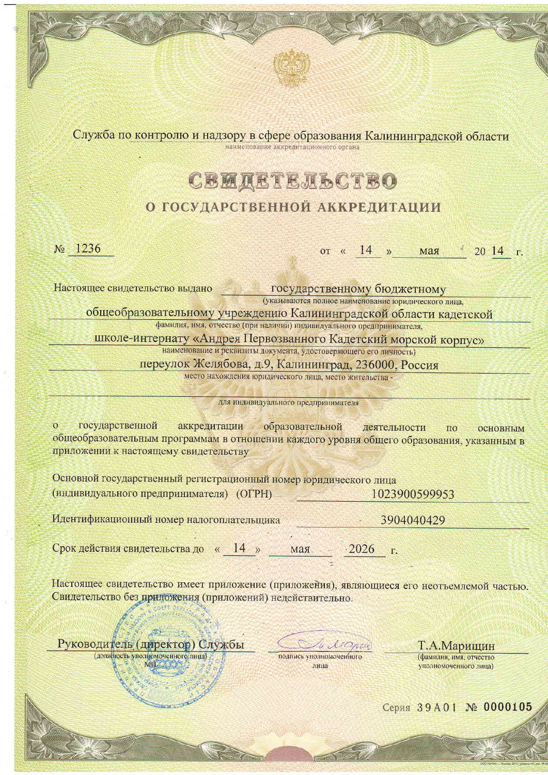Служба по контролю и надзору в сфере образования Калининградской области наименование аккредитационного органа

**CBMAETEJL6CTBO** 

## О ГОСУДАРСТВЕННОЙ АККРЕДИТАЦИИ

 $N_2$  1236

or  $\kappa$  14 **» Max** 20 14 г.

Настоящее свидетельство вылано государственному бюджетному

(указываются полное наименование юридического лица,

общеобразовательному учреждению Калининградской области кадетской

фамилия, имя, отчество (при наличии) индивидуального предпринимателя,

школе-интернату «Андрея Первозванного Кадетский морской корпус»

наименование и реквизиты документа, удостоверяющего его личность)

переулок Желябова, д.9, Калининград, 236000, Россия

место нахождения юридического лица, место жительства -

для индивидуального предпринимателя

 $\circ$ государственной аккредитации образовательной деятельности  $\overline{10}$ основным общеобразовательным программам в отношении каждого уровня общего образования, указанным в приложении к настоящему свидетельству

Основной государственный регистрационный номер юридического лица (индивидуального предпринимателя) (ОГРН) 1023900599953

Идентификационный номер налогоплательщика 3904040429

Срок действия свидетельства до « 14 » 2026 мая

Настоящее свидетельство имеет приложение (приложения), являющиеся его неотъемлемой частью. Свидетельство без приложения (приложений) недействительно.

Руководитель (директор) Службы (должность уполномоченного лица) MIT.

подпись уполномоченного аина

Т.А.Марищин (фамилия, имя, отчество уполномоченного лица)

Серия 39А01 № 0000105